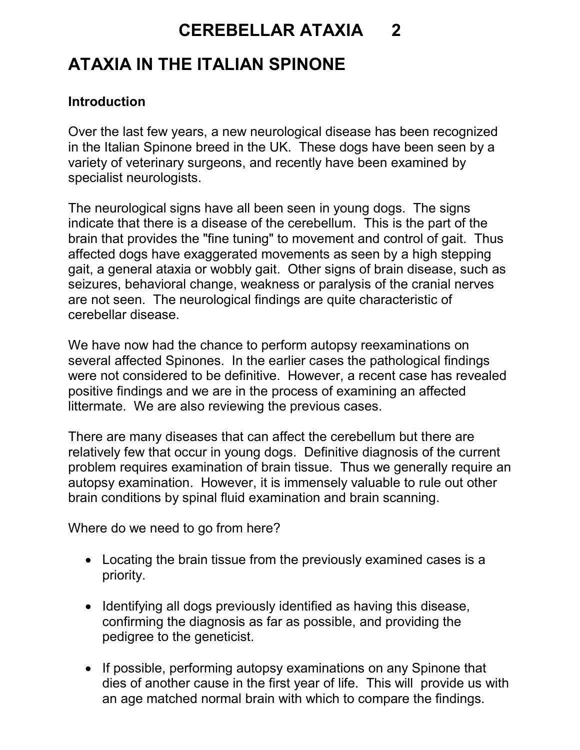## CEREBELLAR ATAXIA 2

## ATAXIA IN THE ITALIAN SPINONE

## **Introduction**

Over the last few years, a new neurological disease has been recognized in the Italian Spinone breed in the UK. These dogs have been seen by a variety of veterinary surgeons, and recently have been examined by specialist neurologists.

The neurological signs have all been seen in young dogs. The signs indicate that there is a disease of the cerebellum. This is the part of the brain that provides the "fine tuning" to movement and control of gait. Thus affected dogs have exaggerated movements as seen by a high stepping gait, a general ataxia or wobbly gait. Other signs of brain disease, such as seizures, behavioral change, weakness or paralysis of the cranial nerves are not seen. The neurological findings are quite characteristic of cerebellar disease.

We have now had the chance to perform autopsy reexaminations on several affected Spinones. In the earlier cases the pathological findings were not considered to be definitive. However, a recent case has revealed positive findings and we are in the process of examining an affected littermate. We are also reviewing the previous cases.

There are many diseases that can affect the cerebellum but there are relatively few that occur in young dogs. Definitive diagnosis of the current problem requires examination of brain tissue. Thus we generally require an autopsy examination. However, it is immensely valuable to rule out other brain conditions by spinal fluid examination and brain scanning.

Where do we need to go from here?

- Locating the brain tissue from the previously examined cases is a priority.
- Identifying all dogs previously identified as having this disease, confirming the diagnosis as far as possible, and providing the pedigree to the geneticist.
- If possible, performing autopsy examinations on any Spinone that dies of another cause in the first year of life. This will provide us with an age matched normal brain with which to compare the findings.